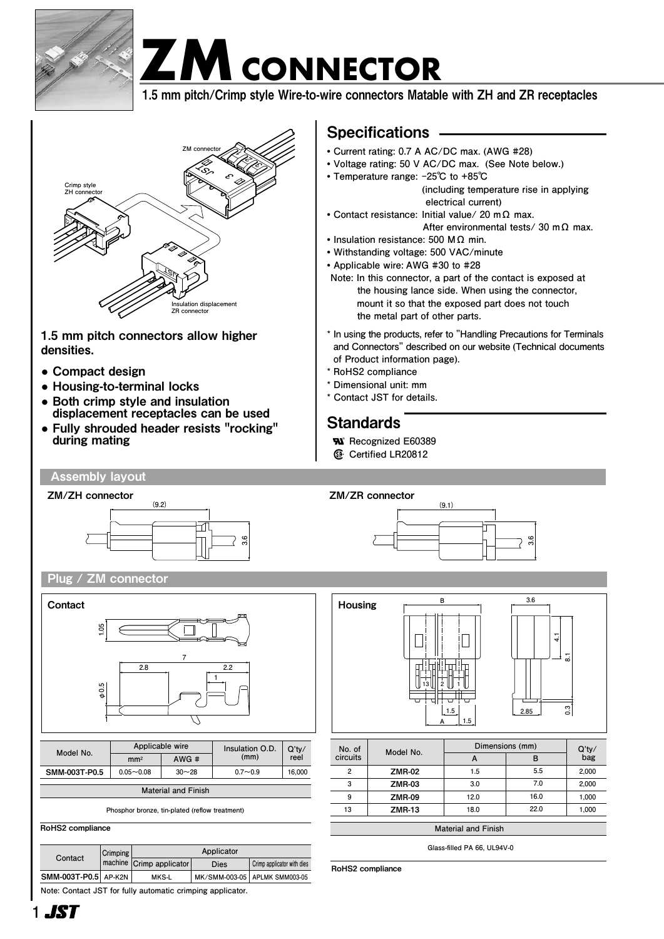

# **ZMCONNECTOR ZMCONNECTOR ZM CONNECTOR**

1.5 mm pitch/Crimp style Wire-to-wire connectors Matable with ZH and ZR receptacles 1.5 mm pitch/Crimp style Wire-to-wire connectors Matable with ZH and ZR receptacles



1.5 mm pitch connectors allow higher densities.

- **●** Compact design
- **●** Housing-to-terminal locks
- **●** Both crimp style and insulation displacement receptacles can be used
- **●** Fully shrouded header resists "rocking" during mating

## Specifications

- **• Current rating: 0.7 A AC/DC max. (AWG #28)**
- **• Voltage rating: 50 V AC/DC max. (See Note below.)**
- **• Temperature range: -25℃ to +85℃ (including temperature rise in applying**

 **electrical current)**

- **• Contact resistance: Initial value/ 20 m Ω max. After environmental tests/ 30 m Ω max.**
- **• Insulation resistance: 500 M Ω min.**
- **• Withstanding voltage: 500 VAC/minute**
- **• Applicable wire: AWG #30 to #28**
- **Note: In this connector, a part of the contact is exposed at the housing lance side. When using the connector, mount it so that the exposed part does not touch the metal part of other parts.**
- **\* In using the products, refer to "Handling Precautions for Terminals and Connectors" described on our website (Technical documents of Product information page).**
- **\* RoHS2 compliance**
- **\* Dimensional unit: mm**
- **\* Contact JST for details.**

## **Standards**

**®**

- **R Recognized E60389** 
	- **Certified LR20812**

## Assembly layout



Plug / ZM connector



**Phosphor bronze, tin-plated (reflow treatment)**

RoHS2 compliance

| Contact              | Crimping | Applicator               |      |                                 |  |
|----------------------|----------|--------------------------|------|---------------------------------|--|
|                      |          | machine Crimp applicator | Dies | Crimp applicator with dies      |  |
| SMM-003T-P0.5 AP-K2N |          | MKS-L                    |      | MK/SMM-003-05   APLMK SMM003-05 |  |

**Note: Contact JST for fully automatic crimping applicator.**



**3.6 B 3.6**

**(9.1)**



| Ξ.<br>2.85 | 41 | $\overline{\phantom{a}}$<br>0.3 |  |
|------------|----|---------------------------------|--|
|            |    |                                 |  |
|            |    |                                 |  |

| No. of<br>circuits | Model No.     | Dimensions (mm) |      |              |
|--------------------|---------------|-----------------|------|--------------|
|                    |               | $\mathbf{A}$    | в    | Q'ty/<br>bag |
| 2                  | <b>ZMR-02</b> | 1.5             | 5.5  | 2,000        |
| 3                  | <b>ZMR-03</b> | 3.0             | 7.0  | 2,000        |
| 9                  | <b>ZMR-09</b> | 12.0            | 16.0 | 1,000        |
| 13                 | <b>ZMR-13</b> | 18.0            | 22.0 | 1,000        |
|                    |               |                 |      |              |

**Material and Finish**

**Glass-filled PA 66, UL94V-0 Applicator**

**machine Crimp applicator with dies** RoHS2 compliance

**Contact Crimping**